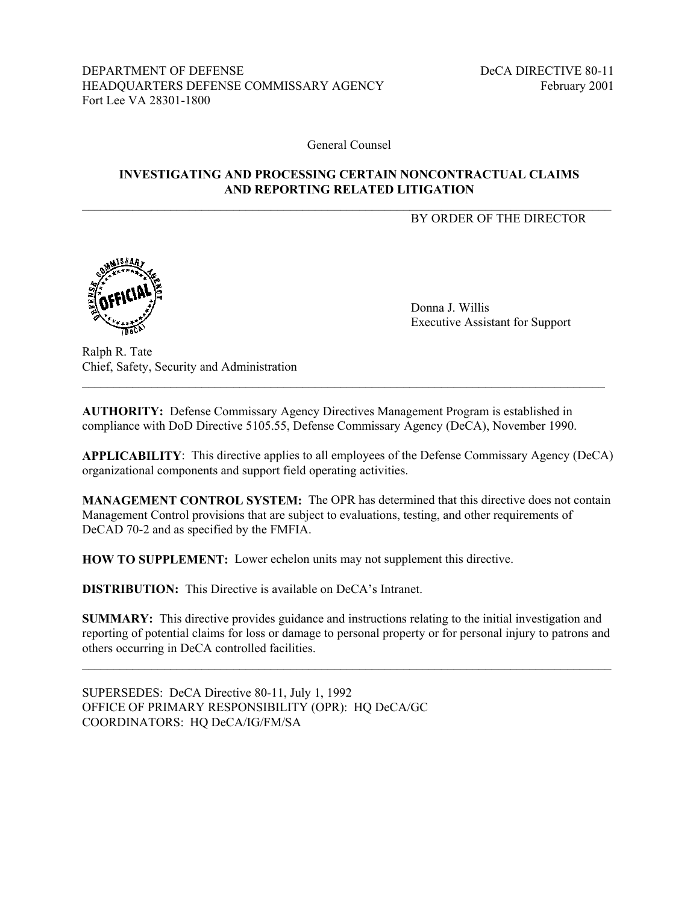DEPARTMENT OF DEFENSE DECA DIRECTIVE 80-11 HEADQUARTERS DEFENSE COMMISSARY AGENCY February 2001 Fort Lee VA 28301-1800

General Counsel

#### **INVESTIGATING AND PROCESSING CERTAIN NONCONTRACTUAL CLAIMS AND REPORTING RELATED LITIGATION**

 $\_$ 

BY ORDER OF THE DIRECTOR



 Donna J. Willis Executive Assistant for Support

Ralph R. Tate Chief, Safety, Security and Administration

**AUTHORITY:** Defense Commissary Agency Directives Management Program is established in compliance with DoD Directive 5105.55, Defense Commissary Agency (DeCA), November 1990.

**APPLICABILITY**: This directive applies to all employees of the Defense Commissary Agency (DeCA) organizational components and support field operating activities.

**MANAGEMENT CONTROL SYSTEM:** The OPR has determined that this directive does not contain Management Control provisions that are subject to evaluations, testing, and other requirements of DeCAD 70-2 and as specified by the FMFIA.

**HOW TO SUPPLEMENT:** Lower echelon units may not supplement this directive.

**DISTRIBUTION:** This Directive is available on DeCA's Intranet.

**SUMMARY:** This directive provides guidance and instructions relating to the initial investigation and reporting of potential claims for loss or damage to personal property or for personal injury to patrons and others occurring in DeCA controlled facilities.

 $\mathcal{L}_\mathcal{L} = \{ \mathcal{L}_\mathcal{L} = \{ \mathcal{L}_\mathcal{L} = \{ \mathcal{L}_\mathcal{L} = \{ \mathcal{L}_\mathcal{L} = \{ \mathcal{L}_\mathcal{L} = \{ \mathcal{L}_\mathcal{L} = \{ \mathcal{L}_\mathcal{L} = \{ \mathcal{L}_\mathcal{L} = \{ \mathcal{L}_\mathcal{L} = \{ \mathcal{L}_\mathcal{L} = \{ \mathcal{L}_\mathcal{L} = \{ \mathcal{L}_\mathcal{L} = \{ \mathcal{L}_\mathcal{L} = \{ \mathcal{L}_\mathcal{$ 

SUPERSEDES: DeCA Directive 80-11, July 1, 1992 OFFICE OF PRIMARY RESPONSIBILITY (OPR): HQ DeCA/GC COORDINATORS: HQ DeCA/IG/FM/SA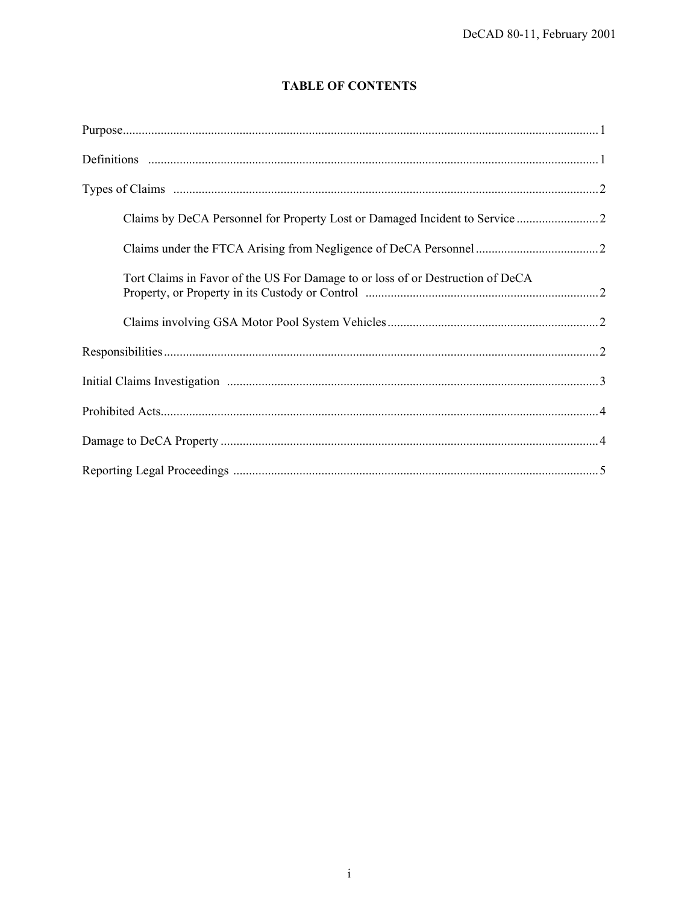# **TABLE OF CONTENTS**

| Tort Claims in Favor of the US For Damage to or loss of or Destruction of DeCA |
|--------------------------------------------------------------------------------|
|                                                                                |
|                                                                                |
|                                                                                |
|                                                                                |
|                                                                                |
|                                                                                |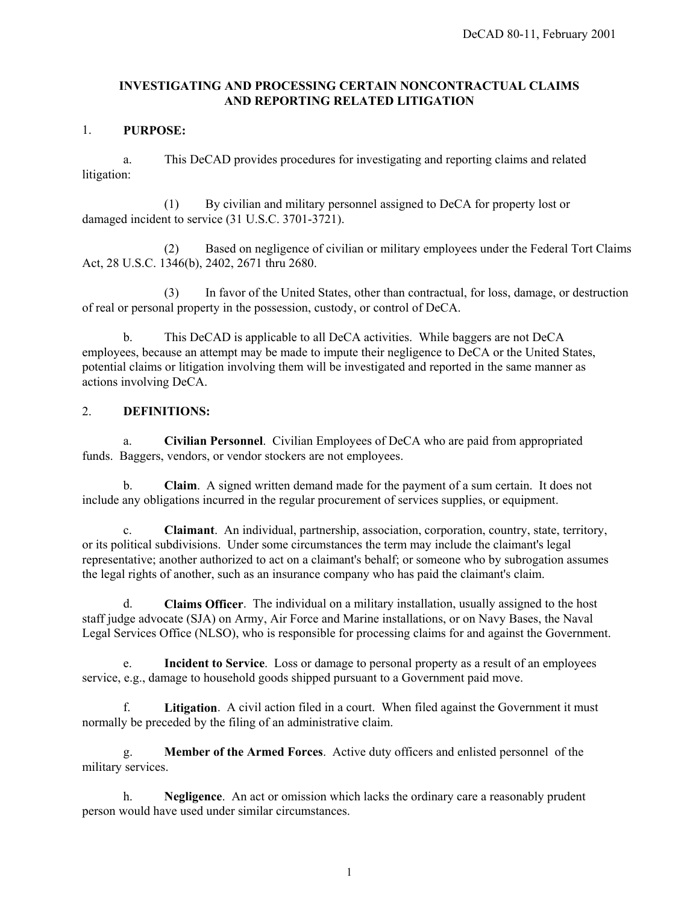## **INVESTIGATING AND PROCESSING CERTAIN NONCONTRACTUAL CLAIMS AND REPORTING RELATED LITIGATION**

## 1. **PURPOSE:**

a. This DeCAD provides procedures for investigating and reporting claims and related litigation:

(1) By civilian and military personnel assigned to DeCA for property lost or damaged incident to service (31 U.S.C. 3701-3721).

(2) Based on negligence of civilian or military employees under the Federal Tort Claims Act, 28 U.S.C. 1346(b), 2402, 2671 thru 2680.

(3) In favor of the United States, other than contractual, for loss, damage, or destruction of real or personal property in the possession, custody, or control of DeCA.

b. This DeCAD is applicable to all DeCA activities. While baggers are not DeCA employees, because an attempt may be made to impute their negligence to DeCA or the United States, potential claims or litigation involving them will be investigated and reported in the same manner as actions involving DeCA.

#### 2. **DEFINITIONS:**

a. **Civilian Personnel**. Civilian Employees of DeCA who are paid from appropriated funds. Baggers, vendors, or vendor stockers are not employees.

b. **Claim**. A signed written demand made for the payment of a sum certain. It does not include any obligations incurred in the regular procurement of services supplies, or equipment.

c. **Claimant**. An individual, partnership, association, corporation, country, state, territory, or its political subdivisions. Under some circumstances the term may include the claimant's legal representative; another authorized to act on a claimant's behalf; or someone who by subrogation assumes the legal rights of another, such as an insurance company who has paid the claimant's claim.

d. **Claims Officer**. The individual on a military installation, usually assigned to the host staff judge advocate (SJA) on Army, Air Force and Marine installations, or on Navy Bases, the Naval Legal Services Office (NLSO), who is responsible for processing claims for and against the Government.

e. **Incident to Service**. Loss or damage to personal property as a result of an employees service, e.g., damage to household goods shipped pursuant to a Government paid move.

f. **Litigation**. A civil action filed in a court. When filed against the Government it must normally be preceded by the filing of an administrative claim.

g. **Member of the Armed Forces**. Active duty officers and enlisted personnel of the military services.

h. **Negligence**. An act or omission which lacks the ordinary care a reasonably prudent person would have used under similar circumstances.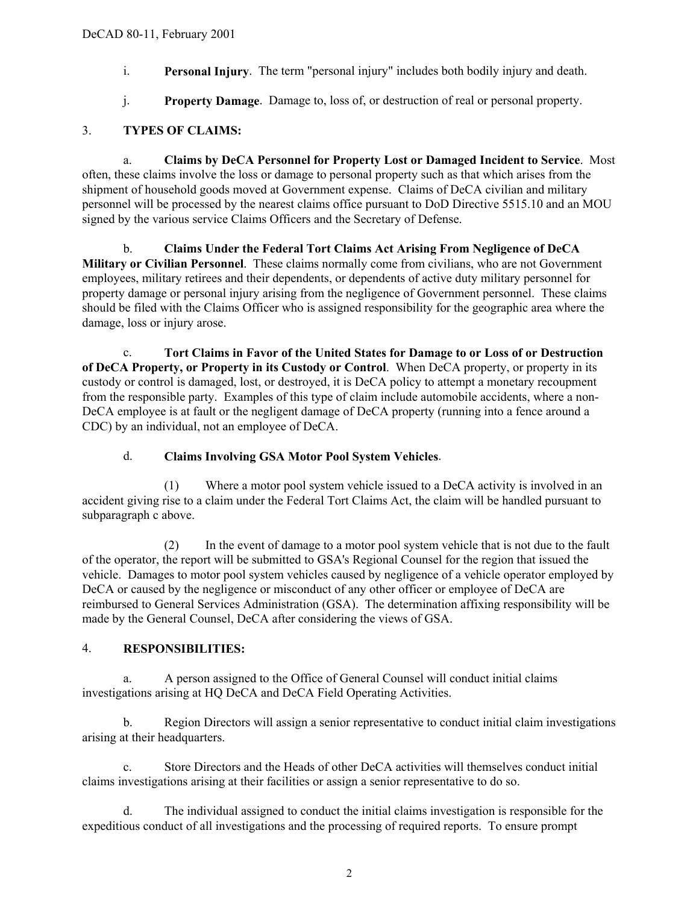- i. **Personal Injury**. The term "personal injury" includes both bodily injury and death.
- j. **Property Damage**. Damage to, loss of, or destruction of real or personal property.

# 3. **TYPES OF CLAIMS:**

a. **Claims by DeCA Personnel for Property Lost or Damaged Incident to Service**. Most often, these claims involve the loss or damage to personal property such as that which arises from the shipment of household goods moved at Government expense. Claims of DeCA civilian and military personnel will be processed by the nearest claims office pursuant to DoD Directive 5515.10 and an MOU signed by the various service Claims Officers and the Secretary of Defense.

b. **Claims Under the Federal Tort Claims Act Arising From Negligence of DeCA Military or Civilian Personnel**. These claims normally come from civilians, who are not Government employees, military retirees and their dependents, or dependents of active duty military personnel for property damage or personal injury arising from the negligence of Government personnel. These claims should be filed with the Claims Officer who is assigned responsibility for the geographic area where the damage, loss or injury arose.

c. **Tort Claims in Favor of the United States for Damage to or Loss of or Destruction of DeCA Property, or Property in its Custody or Control**. When DeCA property, or property in its custody or control is damaged, lost, or destroyed, it is DeCA policy to attempt a monetary recoupment from the responsible party. Examples of this type of claim include automobile accidents, where a non-DeCA employee is at fault or the negligent damage of DeCA property (running into a fence around a CDC) by an individual, not an employee of DeCA.

## d. **Claims Involving GSA Motor Pool System Vehicles**.

(1) Where a motor pool system vehicle issued to a DeCA activity is involved in an accident giving rise to a claim under the Federal Tort Claims Act, the claim will be handled pursuant to subparagraph c above.

(2) In the event of damage to a motor pool system vehicle that is not due to the fault of the operator, the report will be submitted to GSA's Regional Counsel for the region that issued the vehicle. Damages to motor pool system vehicles caused by negligence of a vehicle operator employed by DeCA or caused by the negligence or misconduct of any other officer or employee of DeCA are reimbursed to General Services Administration (GSA). The determination affixing responsibility will be made by the General Counsel, DeCA after considering the views of GSA.

# 4. **RESPONSIBILITIES:**

a. A person assigned to the Office of General Counsel will conduct initial claims investigations arising at HQ DeCA and DeCA Field Operating Activities.

b. Region Directors will assign a senior representative to conduct initial claim investigations arising at their headquarters.

c. Store Directors and the Heads of other DeCA activities will themselves conduct initial claims investigations arising at their facilities or assign a senior representative to do so.

d. The individual assigned to conduct the initial claims investigation is responsible for the expeditious conduct of all investigations and the processing of required reports. To ensure prompt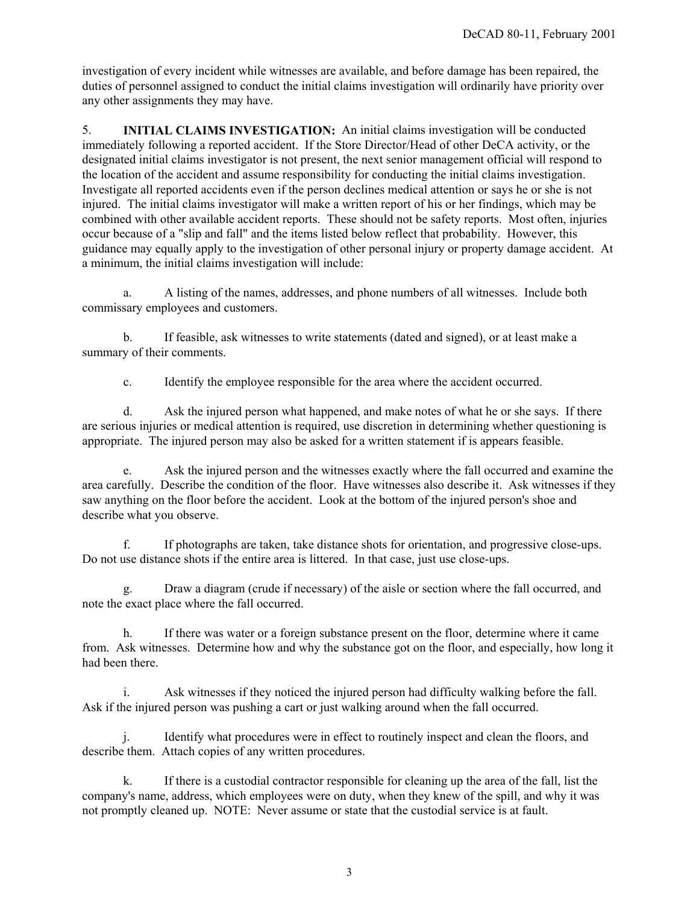investigation of every incident while witnesses are available, and before damage has been repaired, the duties of personnel assigned to conduct the initial claims investigation will ordinarily have priority over any other assignments they may have.

5. **INITIAL CLAIMS INVESTIGATION:** An initial claims investigation will be conducted immediately following a reported accident. If the Store Director/Head of other DeCA activity, or the designated initial claims investigator is not present, the next senior management official will respond to the location of the accident and assume responsibility for conducting the initial claims investigation. Investigate all reported accidents even if the person declines medical attention or says he or she is not injured. The initial claims investigator will make a written report of his or her findings, which may be combined with other available accident reports. These should not be safety reports. Most often, injuries occur because of a "slip and fall" and the items listed below reflect that probability. However, this guidance may equally apply to the investigation of other personal injury or property damage accident. At a minimum, the initial claims investigation will include:

a. A listing of the names, addresses, and phone numbers of all witnesses. Include both commissary employees and customers.

b. If feasible, ask witnesses to write statements (dated and signed), or at least make a summary of their comments.

c. Identify the employee responsible for the area where the accident occurred.

d. Ask the injured person what happened, and make notes of what he or she says. If there are serious injuries or medical attention is required, use discretion in determining whether questioning is appropriate. The injured person may also be asked for a written statement if is appears feasible.

e. Ask the injured person and the witnesses exactly where the fall occurred and examine the area carefully. Describe the condition of the floor. Have witnesses also describe it. Ask witnesses if they saw anything on the floor before the accident. Look at the bottom of the injured person's shoe and describe what you observe.

f. If photographs are taken, take distance shots for orientation, and progressive close-ups. Do not use distance shots if the entire area is littered. In that case, just use close-ups.

g. Draw a diagram (crude if necessary) of the aisle or section where the fall occurred, and note the exact place where the fall occurred.

h. If there was water or a foreign substance present on the floor, determine where it came from. Ask witnesses. Determine how and why the substance got on the floor, and especially, how long it had been there.

i. Ask witnesses if they noticed the injured person had difficulty walking before the fall. Ask if the injured person was pushing a cart or just walking around when the fall occurred.

j. Identify what procedures were in effect to routinely inspect and clean the floors, and describe them. Attach copies of any written procedures.

k. If there is a custodial contractor responsible for cleaning up the area of the fall, list the company's name, address, which employees were on duty, when they knew of the spill, and why it was not promptly cleaned up. NOTE: Never assume or state that the custodial service is at fault.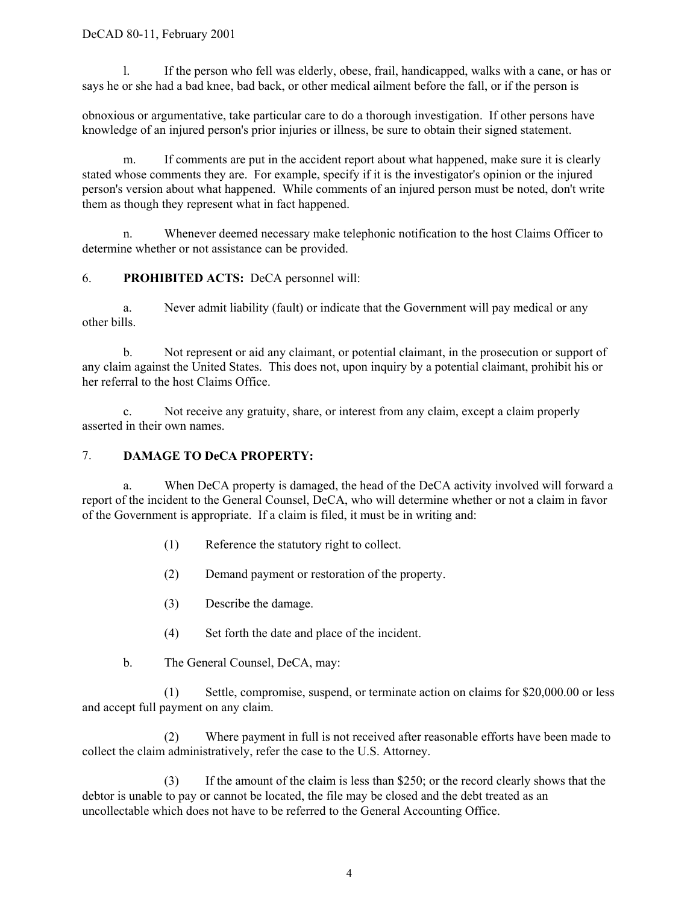#### DeCAD 80-11, February 2001

l. If the person who fell was elderly, obese, frail, handicapped, walks with a cane, or has or says he or she had a bad knee, bad back, or other medical ailment before the fall, or if the person is

obnoxious or argumentative, take particular care to do a thorough investigation. If other persons have knowledge of an injured person's prior injuries or illness, be sure to obtain their signed statement.

m. If comments are put in the accident report about what happened, make sure it is clearly stated whose comments they are. For example, specify if it is the investigator's opinion or the injured person's version about what happened. While comments of an injured person must be noted, don't write them as though they represent what in fact happened.

n. Whenever deemed necessary make telephonic notification to the host Claims Officer to determine whether or not assistance can be provided.

#### 6. **PROHIBITED ACTS:** DeCA personnel will:

a. Never admit liability (fault) or indicate that the Government will pay medical or any other bills.

b. Not represent or aid any claimant, or potential claimant, in the prosecution or support of any claim against the United States. This does not, upon inquiry by a potential claimant, prohibit his or her referral to the host Claims Office.

c. Not receive any gratuity, share, or interest from any claim, except a claim properly asserted in their own names.

## 7. **DAMAGE TO DeCA PROPERTY:**

a. When DeCA property is damaged, the head of the DeCA activity involved will forward a report of the incident to the General Counsel, DeCA, who will determine whether or not a claim in favor of the Government is appropriate. If a claim is filed, it must be in writing and:

- (1) Reference the statutory right to collect.
- (2) Demand payment or restoration of the property.
- (3) Describe the damage.
- (4) Set forth the date and place of the incident.
- b. The General Counsel, DeCA, may:

(1) Settle, compromise, suspend, or terminate action on claims for \$20,000.00 or less and accept full payment on any claim.

(2) Where payment in full is not received after reasonable efforts have been made to collect the claim administratively, refer the case to the U.S. Attorney.

(3) If the amount of the claim is less than \$250; or the record clearly shows that the debtor is unable to pay or cannot be located, the file may be closed and the debt treated as an uncollectable which does not have to be referred to the General Accounting Office.